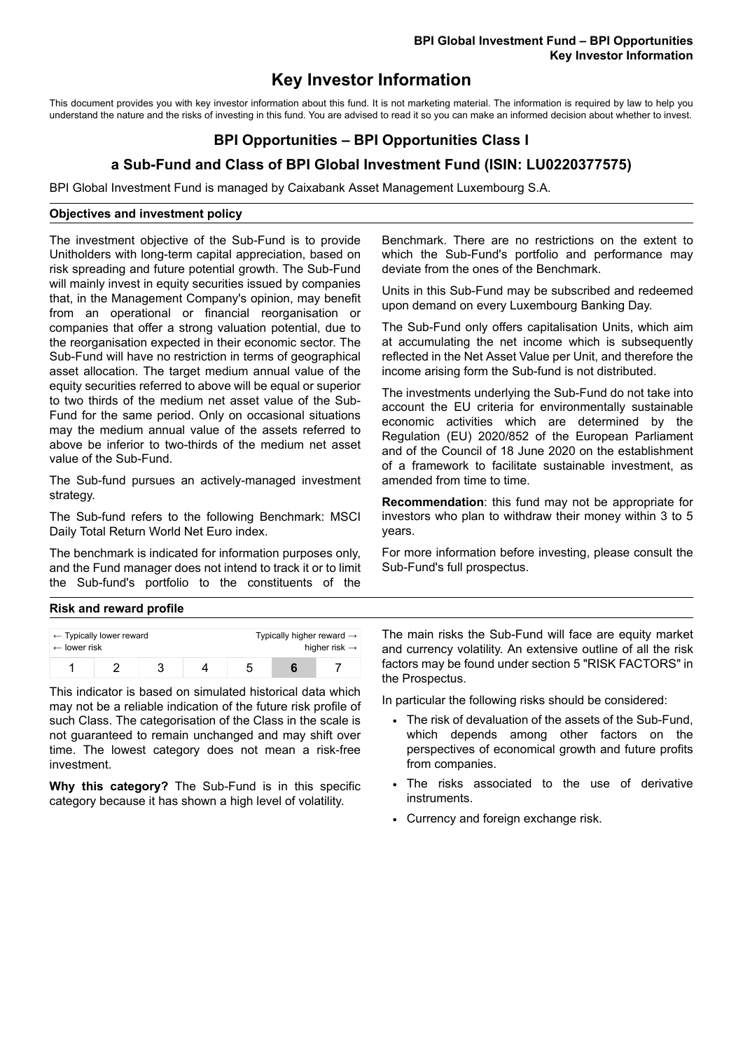# **Key Investor Information**

This document provides you with key investor information about this fund. It is not marketing material. The information is required by law to help you understand the nature and the risks of investing in this fund. You are advised to read it so you can make an informed decision about whether to invest.

## **BPI Opportunities – BPI Opportunities Class I**

### **a Sub-Fund and Class of BPI Global Investment Fund (ISIN: LU0220377575)**

BPI Global Investment Fund is managed by Caixabank Asset Management Luxembourg S.A.

#### **Objectives and investment policy**

The investment objective of the Sub-Fund is to provide Unitholders with long-term capital appreciation, based on risk spreading and future potential growth. The Sub-Fund will mainly invest in equity securities issued by companies that, in the Management Company's opinion, may benefit from an operational or financial reorganisation or companies that offer a strong valuation potential, due to the reorganisation expected in their economic sector. The Sub-Fund will have no restriction in terms of geographical asset allocation. The target medium annual value of the equity securities referred to above will be equal or superior to two thirds of the medium net asset value of the Sub-Fund for the same period. Only on occasional situations may the medium annual value of the assets referred to above be inferior to two-thirds of the medium net asset value of the Sub-Fund.

The Sub-fund pursues an actively-managed investment strategy.

The Sub-fund refers to the following Benchmark: MSCI Daily Total Return World Net Euro index.

The benchmark is indicated for information purposes only, and the Fund manager does not intend to track it or to limit the Sub-fund's portfolio to the constituents of the Benchmark. There are no restrictions on the extent to which the Sub-Fund's portfolio and performance may deviate from the ones of the Benchmark.

Units in this Sub-Fund may be subscribed and redeemed upon demand on every Luxembourg Banking Day.

The Sub-Fund only offers capitalisation Units, which aim at accumulating the net income which is subsequently reflected in the Net Asset Value per Unit, and therefore the income arising form the Sub-fund is not distributed.

The investments underlying the Sub-Fund do not take into account the EU criteria for environmentally sustainable economic activities which are determined by the Regulation (EU) 2020/852 of the European Parliament and of the Council of 18 June 2020 on the establishment of a framework to facilitate sustainable investment, as amended from time to time.

**Recommendation**: this fund may not be appropriate for investors who plan to withdraw their money within 3 to 5 years.

For more information before investing, please consult the Sub-Fund's full prospectus.

#### **Risk and reward profile**

| $\leftarrow$ Typically lower reward |  |  |  | Typically higher reward $\rightarrow$ |  |  |
|-------------------------------------|--|--|--|---------------------------------------|--|--|
| $\leftarrow$ lower risk             |  |  |  | higher risk $\rightarrow$             |  |  |
|                                     |  |  |  |                                       |  |  |

This indicator is based on simulated historical data which may not be a reliable indication of the future risk profile of such Class. The categorisation of the Class in the scale is not guaranteed to remain unchanged and may shift over time. The lowest category does not mean a risk-free investment.

**Why this category?** The Sub-Fund is in this specific category because it has shown a high level of volatility.

The main risks the Sub-Fund will face are equity market and currency volatility. An extensive outline of all the risk factors may be found under section 5 "RISK FACTORS" in the Prospectus.

In particular the following risks should be considered:

- The risk of devaluation of the assets of the Sub-Fund, which depends among other factors on the perspectives of economical growth and future profits from companies.
- The risks associated to the use of derivative instruments.
- Currency and foreign exchange risk.